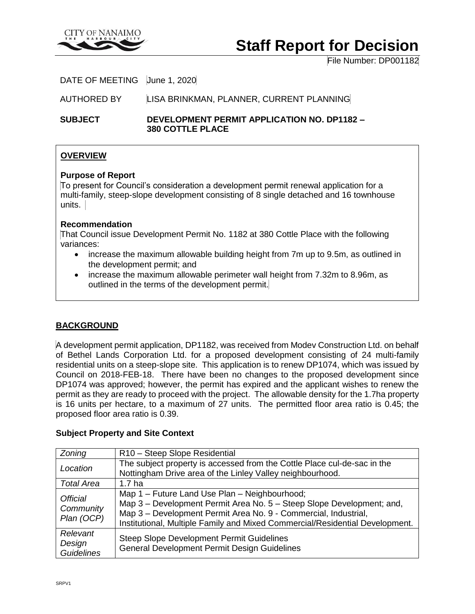

# **Staff Report for Decision**

File Number: DP001182

DATE OF MEETING June 1, 2020

AUTHORED BY LISA BRINKMAN, PLANNER, CURRENT PLANNING

**SUBJECT DEVELOPMENT PERMIT APPLICATION NO. DP1182 – 380 COTTLE PLACE**

# **OVERVIEW**

#### **Purpose of Report**

To present for Council's consideration a development permit renewal application for a multi-family, steep-slope development consisting of 8 single detached and 16 townhouse units.

## **Recommendation**

That Council issue Development Permit No. 1182 at 380 Cottle Place with the following variances:

- increase the maximum allowable building height from 7m up to 9.5m, as outlined in the development permit; and
- increase the maximum allowable perimeter wall height from 7.32m to 8.96m, as outlined in the terms of the development permit.

# **BACKGROUND**

A development permit application, DP1182, was received from Modev Construction Ltd. on behalf of Bethel Lands Corporation Ltd. for a proposed development consisting of 24 multi-family residential units on a steep-slope site. This application is to renew DP1074, which was issued by Council on 2018-FEB-18. There have been no changes to the proposed development since DP1074 was approved; however, the permit has expired and the applicant wishes to renew the permit as they are ready to proceed with the project. The allowable density for the 1.7ha property is 16 units per hectare, to a maximum of 27 units. The permitted floor area ratio is 0.45; the proposed floor area ratio is 0.39.

#### **Subject Property and Site Context**

| Zoning                                     | R10 - Steep Slope Residential                                                                                                                                                                                                                                             |
|--------------------------------------------|---------------------------------------------------------------------------------------------------------------------------------------------------------------------------------------------------------------------------------------------------------------------------|
| Location                                   | The subject property is accessed from the Cottle Place cul-de-sac in the<br>Nottingham Drive area of the Linley Valley neighbourhood.                                                                                                                                     |
| <b>Total Area</b>                          | 1.7 ha                                                                                                                                                                                                                                                                    |
| <b>Official</b><br>Community<br>Plan (OCP) | Map 1 - Future Land Use Plan - Neighbourhood;<br>Map 3 – Development Permit Area No. 5 – Steep Slope Development; and,<br>Map 3 - Development Permit Area No. 9 - Commercial, Industrial,<br>Institutional, Multiple Family and Mixed Commercial/Residential Development. |
| Relevant<br>Design<br><b>Guidelines</b>    | <b>Steep Slope Development Permit Guidelines</b><br><b>General Development Permit Design Guidelines</b>                                                                                                                                                                   |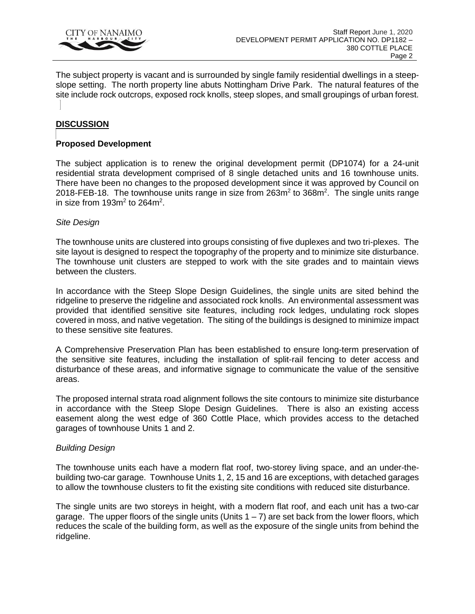

The subject property is vacant and is surrounded by single family residential dwellings in a steepslope setting. The north property line abuts Nottingham Drive Park. The natural features of the site include rock outcrops, exposed rock knolls, steep slopes, and small groupings of urban forest.

# **DISCUSSION**

## **Proposed Development**

The subject application is to renew the original development permit (DP1074) for a 24-unit residential strata development comprised of 8 single detached units and 16 townhouse units. There have been no changes to the proposed development since it was approved by Council on 2018-FEB-18. The townhouse units range in size from  $263m^2$  to  $368m^2$ . The single units range in size from 193m<sup>2</sup> to 264m<sup>2</sup>.

#### *Site Design*

The townhouse units are clustered into groups consisting of five duplexes and two tri-plexes. The site layout is designed to respect the topography of the property and to minimize site disturbance. The townhouse unit clusters are stepped to work with the site grades and to maintain views between the clusters.

In accordance with the Steep Slope Design Guidelines, the single units are sited behind the ridgeline to preserve the ridgeline and associated rock knolls. An environmental assessment was provided that identified sensitive site features, including rock ledges, undulating rock slopes covered in moss, and native vegetation. The siting of the buildings is designed to minimize impact to these sensitive site features.

A Comprehensive Preservation Plan has been established to ensure long-term preservation of the sensitive site features, including the installation of split-rail fencing to deter access and disturbance of these areas, and informative signage to communicate the value of the sensitive areas.

The proposed internal strata road alignment follows the site contours to minimize site disturbance in accordance with the Steep Slope Design Guidelines. There is also an existing access easement along the west edge of 360 Cottle Place, which provides access to the detached garages of townhouse Units 1 and 2.

#### *Building Design*

The townhouse units each have a modern flat roof, two-storey living space, and an under-thebuilding two-car garage. Townhouse Units 1, 2, 15 and 16 are exceptions, with detached garages to allow the townhouse clusters to fit the existing site conditions with reduced site disturbance.

The single units are two storeys in height, with a modern flat roof, and each unit has a two-car garage. The upper floors of the single units (Units  $1 - 7$ ) are set back from the lower floors, which reduces the scale of the building form, as well as the exposure of the single units from behind the ridgeline.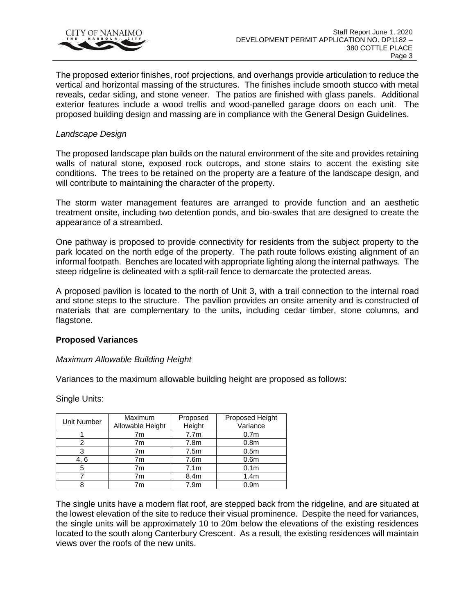

The proposed exterior finishes, roof projections, and overhangs provide articulation to reduce the vertical and horizontal massing of the structures. The finishes include smooth stucco with metal reveals, cedar siding, and stone veneer. The patios are finished with glass panels. Additional exterior features include a wood trellis and wood-panelled garage doors on each unit. The proposed building design and massing are in compliance with the General Design Guidelines.

#### *Landscape Design*

The proposed landscape plan builds on the natural environment of the site and provides retaining walls of natural stone, exposed rock outcrops, and stone stairs to accent the existing site conditions. The trees to be retained on the property are a feature of the landscape design, and will contribute to maintaining the character of the property.

The storm water management features are arranged to provide function and an aesthetic treatment onsite, including two detention ponds, and bio-swales that are designed to create the appearance of a streambed.

One pathway is proposed to provide connectivity for residents from the subject property to the park located on the north edge of the property. The path route follows existing alignment of an informal footpath. Benches are located with appropriate lighting along the internal pathways. The steep ridgeline is delineated with a split-rail fence to demarcate the protected areas.

A proposed pavilion is located to the north of Unit 3, with a trail connection to the internal road and stone steps to the structure. The pavilion provides an onsite amenity and is constructed of materials that are complementary to the units, including cedar timber, stone columns, and flagstone.

#### **Proposed Variances**

#### *Maximum Allowable Building Height*

Variances to the maximum allowable building height are proposed as follows:

Single Units:

| Unit Number | Maximum<br>Allowable Height | Proposed<br>Height | Proposed Height<br>Variance |
|-------------|-----------------------------|--------------------|-----------------------------|
|             | 7m                          | 7.7 <sub>m</sub>   | 0.7 <sub>m</sub>            |
| 2           | 7m                          | 7.8m               | 0.8 <sub>m</sub>            |
| 3           | 7m                          | 7.5m               | 0.5 <sub>m</sub>            |
| 4, 6        | 7m                          | 7.6m               | 0.6 <sub>m</sub>            |
| 5           | 7m                          | 7.1 <sub>m</sub>   | 0.1 <sub>m</sub>            |
|             | 7m                          | 8.4 <sub>m</sub>   | 1.4 <sub>m</sub>            |
|             | 7m                          | 7.9m               | 0.9 <sub>m</sub>            |

The single units have a modern flat roof, are stepped back from the ridgeline, and are situated at the lowest elevation of the site to reduce their visual prominence. Despite the need for variances, the single units will be approximately 10 to 20m below the elevations of the existing residences located to the south along Canterbury Crescent. As a result, the existing residences will maintain views over the roofs of the new units.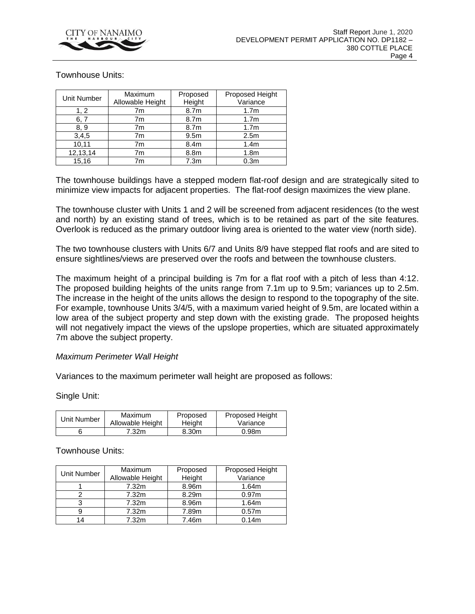

#### Townhouse Units:

| Unit Number | Maximum<br>Allowable Height | Proposed<br>Height | Proposed Height<br>Variance |
|-------------|-----------------------------|--------------------|-----------------------------|
| 1, 2        | 7m                          | 8.7m               | 1.7 <sub>m</sub>            |
| 6, 7        | 7m                          | 8.7m               | 1.7 <sub>m</sub>            |
| 8.9         | 7m                          | 8.7m               | 1.7 <sub>m</sub>            |
| 3,4,5       | 7m                          | 9.5 <sub>m</sub>   | 2.5 <sub>m</sub>            |
| 10,11       | 7m                          | 8.4 <sub>m</sub>   | 1.4 <sub>m</sub>            |
| 12,13,14    | 7m                          | 8.8m               | 1.8 <sub>m</sub>            |
| 15.16       | 7m                          | 7.3 <sub>m</sub>   | 0.3 <sub>m</sub>            |

The townhouse buildings have a stepped modern flat-roof design and are strategically sited to minimize view impacts for adjacent properties. The flat-roof design maximizes the view plane.

The townhouse cluster with Units 1 and 2 will be screened from adjacent residences (to the west and north) by an existing stand of trees, which is to be retained as part of the site features. Overlook is reduced as the primary outdoor living area is oriented to the water view (north side).

The two townhouse clusters with Units 6/7 and Units 8/9 have stepped flat roofs and are sited to ensure sightlines/views are preserved over the roofs and between the townhouse clusters.

The maximum height of a principal building is 7m for a flat roof with a pitch of less than 4:12. The proposed building heights of the units range from 7.1m up to 9.5m; variances up to 2.5m. The increase in the height of the units allows the design to respond to the topography of the site. For example, townhouse Units 3/4/5, with a maximum varied height of 9.5m, are located within a low area of the subject property and step down with the existing grade. The proposed heights will not negatively impact the views of the upslope properties, which are situated approximately 7m above the subject property.

#### *Maximum Perimeter Wall Height*

Variances to the maximum perimeter wall height are proposed as follows:

Single Unit:

| Unit Number | Maximum          | Proposed | <b>Proposed Height</b> |
|-------------|------------------|----------|------------------------|
|             | Allowable Height | Height   | Variance               |
|             | 7.32m            | 8.30m    | 0.98 <sub>m</sub>      |

Townhouse Units:

| Unit Number | Maximum<br>Allowable Height | Proposed<br>Height | Proposed Height<br>Variance |
|-------------|-----------------------------|--------------------|-----------------------------|
|             | 7.32m                       | 8.96m              | 1.64m                       |
|             | 7.32 <sub>m</sub>           | 8.29m              | 0.97 <sub>m</sub>           |
|             | 7.32m                       | 8.96m              | 1.64m                       |
|             | 7.32m                       | 7.89m              | 0.57 <sub>m</sub>           |
| 14          | 7.32m                       | 7.46m              | 0.14m                       |